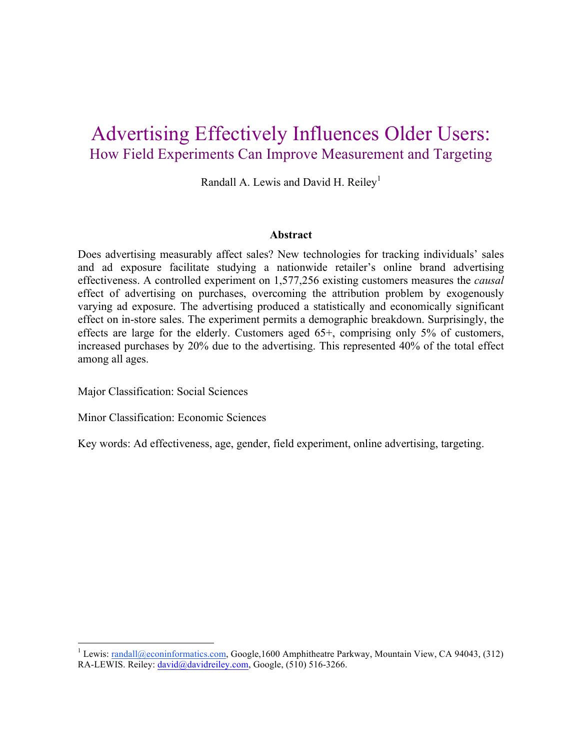# Advertising Effectively Influences Older Users: How Field Experiments Can Improve Measurement and Targeting

Randall A. Lewis and David H. Reiley<sup>1</sup>

#### **Abstract**

Does advertising measurably affect sales? New technologies for tracking individuals' sales and ad exposure facilitate studying a nationwide retailer's online brand advertising effectiveness. A controlled experiment on 1,577,256 existing customers measures the *causal* effect of advertising on purchases, overcoming the attribution problem by exogenously varying ad exposure. The advertising produced a statistically and economically significant effect on in-store sales. The experiment permits a demographic breakdown. Surprisingly, the effects are large for the elderly. Customers aged 65+, comprising only 5% of customers, increased purchases by 20% due to the advertising. This represented 40% of the total effect among all ages.

Major Classification: Social Sciences

Minor Classification: Economic Sciences

Key words: Ad effectiveness, age, gender, field experiment, online advertising, targeting.

<sup>&</sup>lt;sup>1</sup> Lewis: randall@econinformatics.com, Google,1600 Amphitheatre Parkway, Mountain View, CA 94043, (312) RA-LEWIS. Reiley: david@davidreiley.com, Google, (510) 516-3266.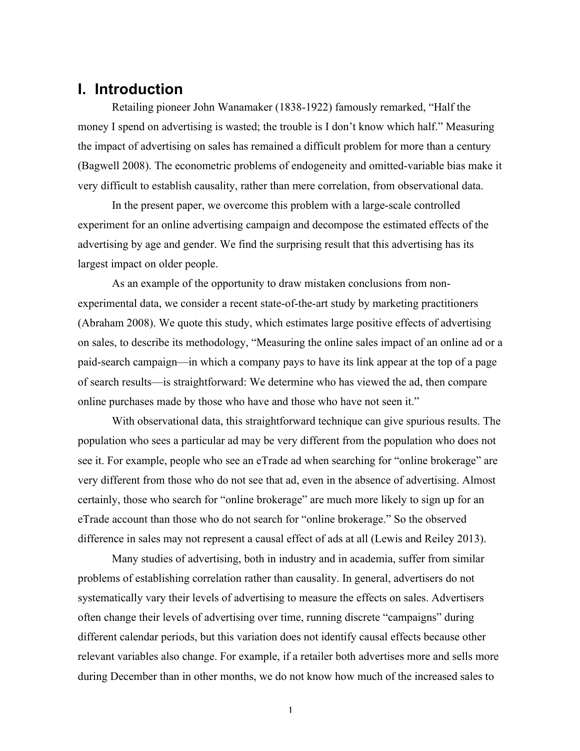### **I. Introduction**

Retailing pioneer John Wanamaker (1838-1922) famously remarked, "Half the money I spend on advertising is wasted; the trouble is I don't know which half." Measuring the impact of advertising on sales has remained a difficult problem for more than a century (Bagwell 2008). The econometric problems of endogeneity and omitted-variable bias make it very difficult to establish causality, rather than mere correlation, from observational data.

In the present paper, we overcome this problem with a large-scale controlled experiment for an online advertising campaign and decompose the estimated effects of the advertising by age and gender. We find the surprising result that this advertising has its largest impact on older people.

As an example of the opportunity to draw mistaken conclusions from nonexperimental data, we consider a recent state-of-the-art study by marketing practitioners (Abraham 2008). We quote this study, which estimates large positive effects of advertising on sales, to describe its methodology, "Measuring the online sales impact of an online ad or a paid-search campaign—in which a company pays to have its link appear at the top of a page of search results—is straightforward: We determine who has viewed the ad, then compare online purchases made by those who have and those who have not seen it."

With observational data, this straightforward technique can give spurious results. The population who sees a particular ad may be very different from the population who does not see it. For example, people who see an eTrade ad when searching for "online brokerage" are very different from those who do not see that ad, even in the absence of advertising. Almost certainly, those who search for "online brokerage" are much more likely to sign up for an eTrade account than those who do not search for "online brokerage." So the observed difference in sales may not represent a causal effect of ads at all (Lewis and Reiley 2013).

Many studies of advertising, both in industry and in academia, suffer from similar problems of establishing correlation rather than causality. In general, advertisers do not systematically vary their levels of advertising to measure the effects on sales. Advertisers often change their levels of advertising over time, running discrete "campaigns" during different calendar periods, but this variation does not identify causal effects because other relevant variables also change. For example, if a retailer both advertises more and sells more during December than in other months, we do not know how much of the increased sales to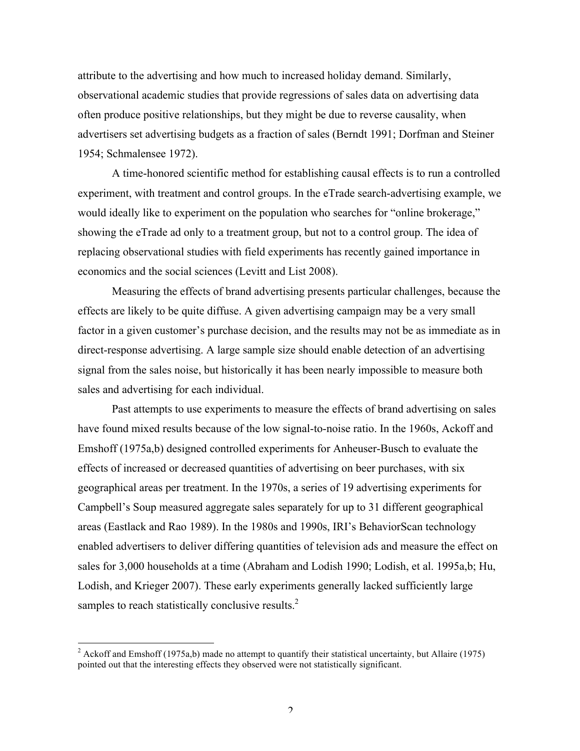attribute to the advertising and how much to increased holiday demand. Similarly, observational academic studies that provide regressions of sales data on advertising data often produce positive relationships, but they might be due to reverse causality, when advertisers set advertising budgets as a fraction of sales (Berndt 1991; Dorfman and Steiner 1954; Schmalensee 1972).

A time-honored scientific method for establishing causal effects is to run a controlled experiment, with treatment and control groups. In the eTrade search-advertising example, we would ideally like to experiment on the population who searches for "online brokerage," showing the eTrade ad only to a treatment group, but not to a control group. The idea of replacing observational studies with field experiments has recently gained importance in economics and the social sciences (Levitt and List 2008).

Measuring the effects of brand advertising presents particular challenges, because the effects are likely to be quite diffuse. A given advertising campaign may be a very small factor in a given customer's purchase decision, and the results may not be as immediate as in direct-response advertising. A large sample size should enable detection of an advertising signal from the sales noise, but historically it has been nearly impossible to measure both sales and advertising for each individual.

Past attempts to use experiments to measure the effects of brand advertising on sales have found mixed results because of the low signal-to-noise ratio. In the 1960s, Ackoff and Emshoff (1975a,b) designed controlled experiments for Anheuser-Busch to evaluate the effects of increased or decreased quantities of advertising on beer purchases, with six geographical areas per treatment. In the 1970s, a series of 19 advertising experiments for Campbell's Soup measured aggregate sales separately for up to 31 different geographical areas (Eastlack and Rao 1989). In the 1980s and 1990s, IRI's BehaviorScan technology enabled advertisers to deliver differing quantities of television ads and measure the effect on sales for 3,000 households at a time (Abraham and Lodish 1990; Lodish, et al. 1995a,b; Hu, Lodish, and Krieger 2007). These early experiments generally lacked sufficiently large samples to reach statistically conclusive results.<sup>2</sup>

<sup>&</sup>lt;sup>2</sup> Ackoff and Emshoff (1975a,b) made no attempt to quantify their statistical uncertainty, but Allaire (1975) pointed out that the interesting effects they observed were not statistically significant.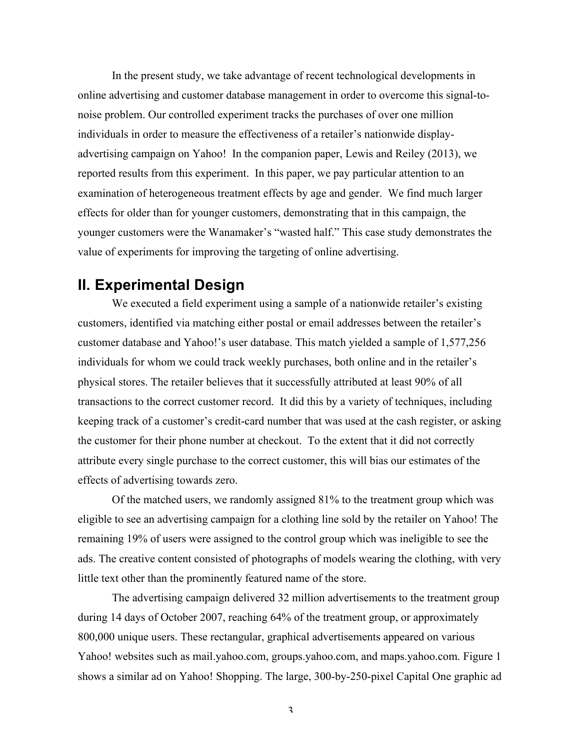In the present study, we take advantage of recent technological developments in online advertising and customer database management in order to overcome this signal-tonoise problem. Our controlled experiment tracks the purchases of over one million individuals in order to measure the effectiveness of a retailer's nationwide displayadvertising campaign on Yahoo! In the companion paper, Lewis and Reiley (2013), we reported results from this experiment. In this paper, we pay particular attention to an examination of heterogeneous treatment effects by age and gender. We find much larger effects for older than for younger customers, demonstrating that in this campaign, the younger customers were the Wanamaker's "wasted half." This case study demonstrates the value of experiments for improving the targeting of online advertising.

### **II. Experimental Design**

We executed a field experiment using a sample of a nationwide retailer's existing customers, identified via matching either postal or email addresses between the retailer's customer database and Yahoo!'s user database. This match yielded a sample of 1,577,256 individuals for whom we could track weekly purchases, both online and in the retailer's physical stores. The retailer believes that it successfully attributed at least 90% of all transactions to the correct customer record. It did this by a variety of techniques, including keeping track of a customer's credit-card number that was used at the cash register, or asking the customer for their phone number at checkout. To the extent that it did not correctly attribute every single purchase to the correct customer, this will bias our estimates of the effects of advertising towards zero.

Of the matched users, we randomly assigned 81% to the treatment group which was eligible to see an advertising campaign for a clothing line sold by the retailer on Yahoo! The remaining 19% of users were assigned to the control group which was ineligible to see the ads. The creative content consisted of photographs of models wearing the clothing, with very little text other than the prominently featured name of the store.

The advertising campaign delivered 32 million advertisements to the treatment group during 14 days of October 2007, reaching 64% of the treatment group, or approximately 800,000 unique users. These rectangular, graphical advertisements appeared on various Yahoo! websites such as mail.yahoo.com, groups.yahoo.com, and maps.yahoo.com. Figure 1 shows a similar ad on Yahoo! Shopping. The large, 300-by-250-pixel Capital One graphic ad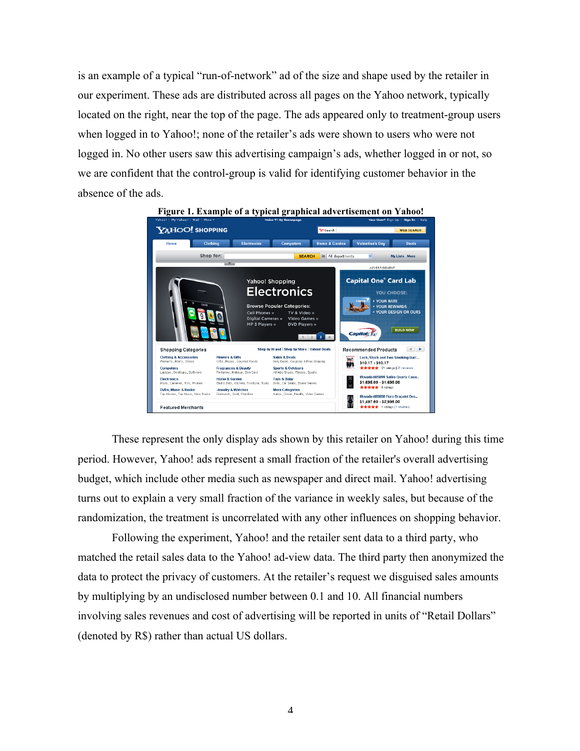is an example of a typical "run-of-network" ad of the size and shape used by the retailer in our experiment. These ads are distributed across all pages on the Yahoo network, typically located on the right, near the top of the page. The ads appeared only to treatment-group users when logged in to Yahoo!; none of the retailer's ads were shown to users who were not logged in. No other users saw this advertising campaign's ads, whether logged in or not, so we are confident that the control-group is valid for identifying customer behavior in the absence of the ads.



These represent the only display ads shown by this retailer on Yahoo! during this time period. However, Yahoo! ads represent a small fraction of the retailer's overall advertising budget, which include other media such as newspaper and direct mail. Yahoo! advertising turns out to explain a very small fraction of the variance in weekly sales, but because of the randomization, the treatment is uncorrelated with any other influences on shopping behavior.

Following the experiment, Yahoo! and the retailer sent data to a third party, who matched the retail sales data to the Yahoo! ad-view data. The third party then anonymized the data to protect the privacy of customers. At the retailer's request we disguised sales amounts by multiplying by an undisclosed number between 0.1 and 10. All financial numbers involving sales revenues and cost of advertising will be reported in units of "Retail Dollars" (denoted by R\$) rather than actual US dollars.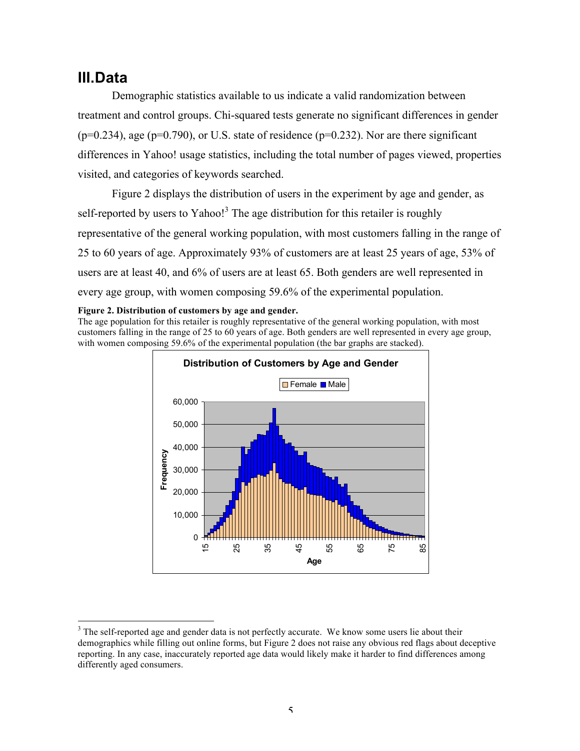## **III.Data**

Demographic statistics available to us indicate a valid randomization between treatment and control groups. Chi-squared tests generate no significant differences in gender  $(p=0.234)$ , age  $(p=0.790)$ , or U.S. state of residence  $(p=0.232)$ . Nor are there significant differences in Yahoo! usage statistics, including the total number of pages viewed, properties visited, and categories of keywords searched.

Figure 2 displays the distribution of users in the experiment by age and gender, as self-reported by users to Yahoo!<sup>3</sup> The age distribution for this retailer is roughly representative of the general working population, with most customers falling in the range of 25 to 60 years of age. Approximately 93% of customers are at least 25 years of age, 53% of users are at least 40, and 6% of users are at least 65. Both genders are well represented in every age group, with women composing 59.6% of the experimental population.

#### **Figure 2. Distribution of customers by age and gender.**

The age population for this retailer is roughly representative of the general working population, with most customers falling in the range of 25 to 60 years of age. Both genders are well represented in every age group, with women composing 59.6% of the experimental population (the bar graphs are stacked).



<sup>&</sup>lt;sup>3</sup> The self-reported age and gender data is not perfectly accurate. We know some users lie about their demographics while filling out online forms, but Figure 2 does not raise any obvious red flags about deceptive reporting. In any case, inaccurately reported age data would likely make it harder to find differences among differently aged consumers.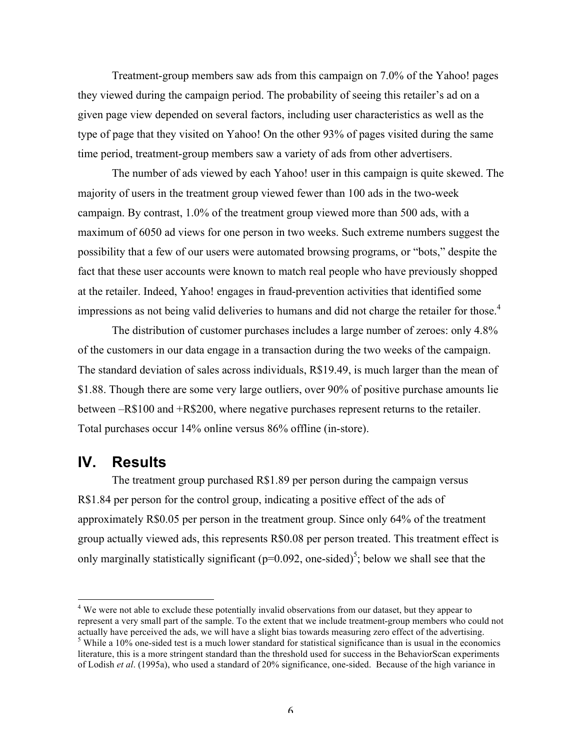Treatment-group members saw ads from this campaign on 7.0% of the Yahoo! pages they viewed during the campaign period. The probability of seeing this retailer's ad on a given page view depended on several factors, including user characteristics as well as the type of page that they visited on Yahoo! On the other 93% of pages visited during the same time period, treatment-group members saw a variety of ads from other advertisers.

The number of ads viewed by each Yahoo! user in this campaign is quite skewed. The majority of users in the treatment group viewed fewer than 100 ads in the two-week campaign. By contrast, 1.0% of the treatment group viewed more than 500 ads, with a maximum of 6050 ad views for one person in two weeks. Such extreme numbers suggest the possibility that a few of our users were automated browsing programs, or "bots," despite the fact that these user accounts were known to match real people who have previously shopped at the retailer. Indeed, Yahoo! engages in fraud-prevention activities that identified some impressions as not being valid deliveries to humans and did not charge the retailer for those.<sup>4</sup>

The distribution of customer purchases includes a large number of zeroes: only 4.8% of the customers in our data engage in a transaction during the two weeks of the campaign. The standard deviation of sales across individuals, R\$19.49, is much larger than the mean of \$1.88. Though there are some very large outliers, over 90% of positive purchase amounts lie between –R\$100 and +R\$200, where negative purchases represent returns to the retailer. Total purchases occur 14% online versus 86% offline (in-store).

### **IV. Results**

The treatment group purchased R\$1.89 per person during the campaign versus R\$1.84 per person for the control group, indicating a positive effect of the ads of approximately R\$0.05 per person in the treatment group. Since only 64% of the treatment group actually viewed ads, this represents R\$0.08 per person treated. This treatment effect is only marginally statistically significant ( $p=0.092$ , one-sided)<sup>5</sup>; below we shall see that the

<sup>&</sup>lt;sup>4</sup> We were not able to exclude these potentially invalid observations from our dataset, but they appear to represent a very small part of the sample. To the extent that we include treatment-group members who could not actually have perceived the ads, we will have a slight bias towards measuring zero effect of the advertising.

 $5$  While a 10% one-sided test is a much lower standard for statistical significance than is usual in the economics literature, this is a more stringent standard than the threshold used for success in the BehaviorScan experiments of Lodish *et al*. (1995a), who used a standard of 20% significance, one-sided. Because of the high variance in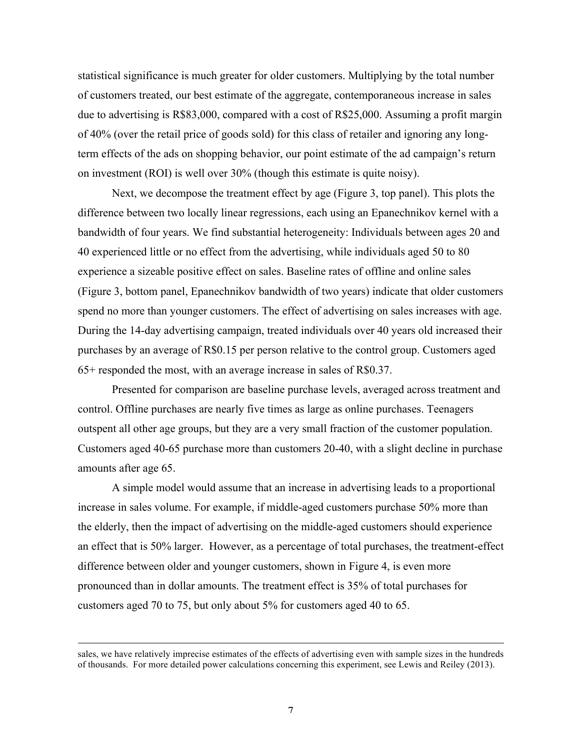statistical significance is much greater for older customers. Multiplying by the total number of customers treated, our best estimate of the aggregate, contemporaneous increase in sales due to advertising is R\$83,000, compared with a cost of R\$25,000. Assuming a profit margin of 40% (over the retail price of goods sold) for this class of retailer and ignoring any longterm effects of the ads on shopping behavior, our point estimate of the ad campaign's return on investment (ROI) is well over 30% (though this estimate is quite noisy).

Next, we decompose the treatment effect by age (Figure 3, top panel). This plots the difference between two locally linear regressions, each using an Epanechnikov kernel with a bandwidth of four years. We find substantial heterogeneity: Individuals between ages 20 and 40 experienced little or no effect from the advertising, while individuals aged 50 to 80 experience a sizeable positive effect on sales. Baseline rates of offline and online sales (Figure 3, bottom panel, Epanechnikov bandwidth of two years) indicate that older customers spend no more than younger customers. The effect of advertising on sales increases with age. During the 14-day advertising campaign, treated individuals over 40 years old increased their purchases by an average of R\$0.15 per person relative to the control group. Customers aged 65+ responded the most, with an average increase in sales of R\$0.37.

Presented for comparison are baseline purchase levels, averaged across treatment and control. Offline purchases are nearly five times as large as online purchases. Teenagers outspent all other age groups, but they are a very small fraction of the customer population. Customers aged 40-65 purchase more than customers 20-40, with a slight decline in purchase amounts after age 65.

A simple model would assume that an increase in advertising leads to a proportional increase in sales volume. For example, if middle-aged customers purchase 50% more than the elderly, then the impact of advertising on the middle-aged customers should experience an effect that is 50% larger. However, as a percentage of total purchases, the treatment-effect difference between older and younger customers, shown in Figure 4, is even more pronounced than in dollar amounts. The treatment effect is 35% of total purchases for customers aged 70 to 75, but only about 5% for customers aged 40 to 65.

sales, we have relatively imprecise estimates of the effects of advertising even with sample sizes in the hundreds of thousands. For more detailed power calculations concerning this experiment, see Lewis and Reiley (2013).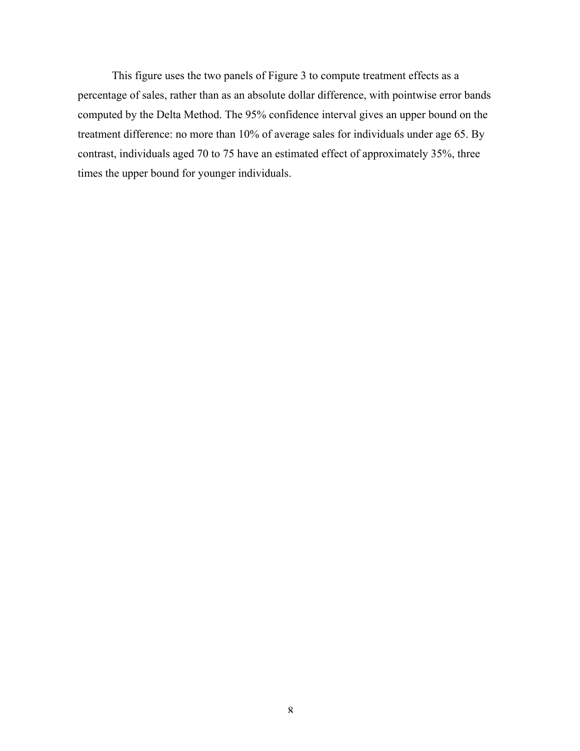This figure uses the two panels of Figure 3 to compute treatment effects as a percentage of sales, rather than as an absolute dollar difference, with pointwise error bands computed by the Delta Method. The 95% confidence interval gives an upper bound on the treatment difference: no more than 10% of average sales for individuals under age 65. By contrast, individuals aged 70 to 75 have an estimated effect of approximately 35%, three times the upper bound for younger individuals.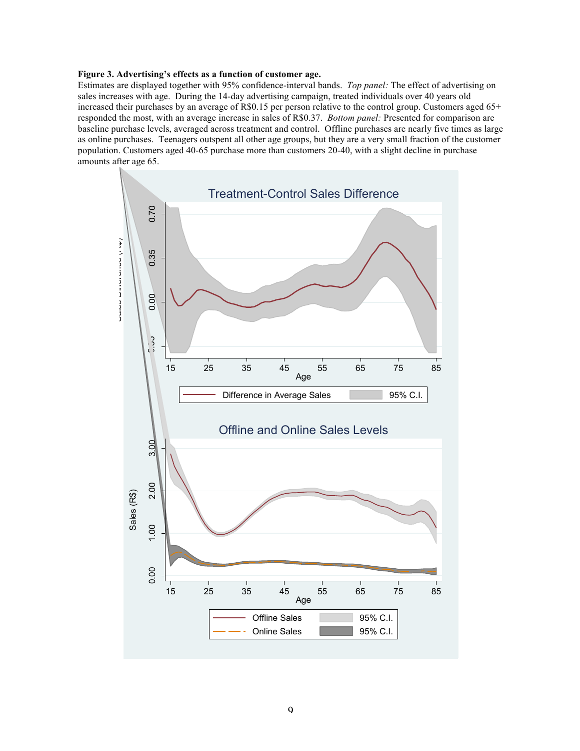#### **Figure 3. Advertising's effects as a function of customer age.**

Estimates are displayed together with 95% confidence-interval bands. *Top panel:* The effect of advertising on sales increases with age. During the 14-day advertising campaign, treated individuals over 40 years old increased their purchases by an average of R\$0.15 per person relative to the control group. Customers aged 65+ responded the most, with an average increase in sales of R\$0.37. *Bottom panel:* Presented for comparison are baseline purchase levels, averaged across treatment and control. Offline purchases are nearly five times as large as online purchases. Teenagers outspent all other age groups, but they are a very small fraction of the customer population. Customers aged 40-65 purchase more than customers 20-40, with a slight decline in purchase amounts after age 65.

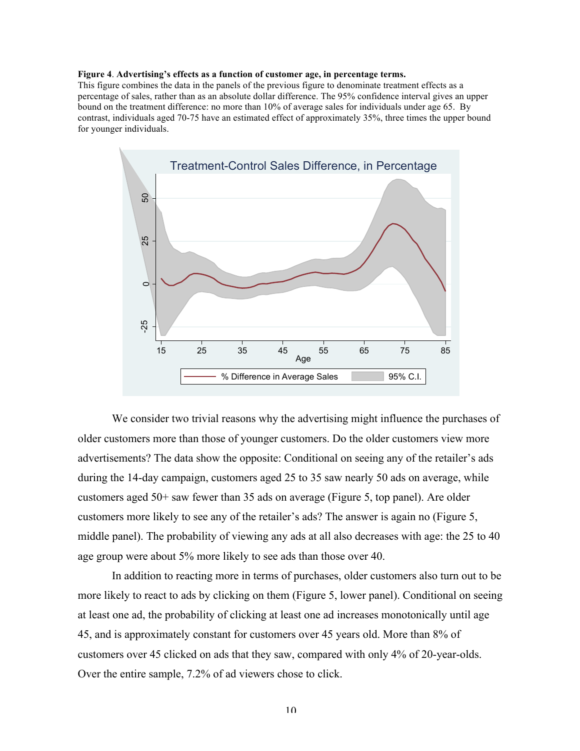#### **Figure 4**. **Advertising's effects as a function of customer age, in percentage terms.**

This figure combines the data in the panels of the previous figure to denominate treatment effects as a percentage of sales, rather than as an absolute dollar difference. The 95% confidence interval gives an upper bound on the treatment difference: no more than 10% of average sales for individuals under age 65. By contrast, individuals aged 70-75 have an estimated effect of approximately 35%, three times the upper bound for younger individuals.



We consider two trivial reasons why the advertising might influence the purchases of older customers more than those of younger customers. Do the older customers view more advertisements? The data show the opposite: Conditional on seeing any of the retailer's ads during the 14-day campaign, customers aged 25 to 35 saw nearly 50 ads on average, while customers aged 50+ saw fewer than 35 ads on average (Figure 5, top panel). Are older customers more likely to see any of the retailer's ads? The answer is again no (Figure 5, middle panel). The probability of viewing any ads at all also decreases with age: the 25 to 40 age group were about 5% more likely to see ads than those over 40.

In addition to reacting more in terms of purchases, older customers also turn out to be more likely to react to ads by clicking on them (Figure 5, lower panel). Conditional on seeing at least one ad, the probability of clicking at least one ad increases monotonically until age 45, and is approximately constant for customers over 45 years old. More than 8% of customers over 45 clicked on ads that they saw, compared with only 4% of 20-year-olds. Over the entire sample, 7.2% of ad viewers chose to click.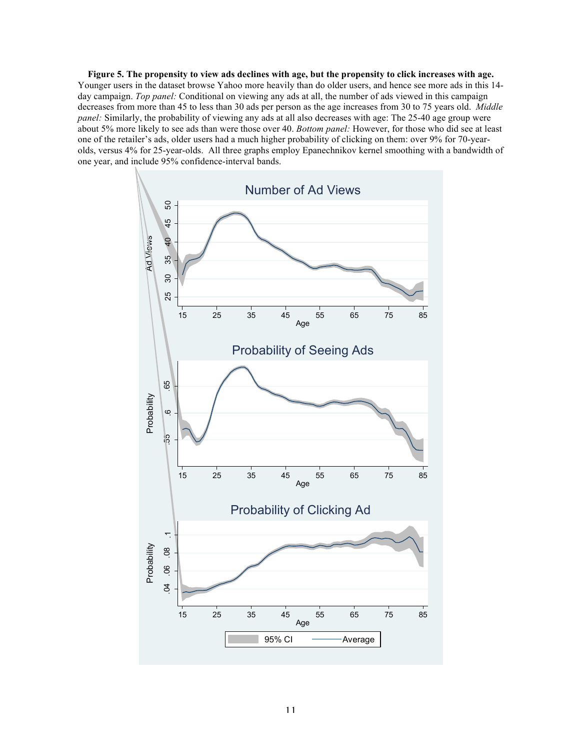**Figure 5. The propensity to view ads declines with age, but the propensity to click increases with age.** Younger users in the dataset browse Yahoo more heavily than do older users, and hence see more ads in this 14 day campaign. *Top panel:* Conditional on viewing any ads at all, the number of ads viewed in this campaign decreases from more than 45 to less than 30 ads per person as the age increases from 30 to 75 years old. *Middle panel:* Similarly, the probability of viewing any ads at all also decreases with age: The 25-40 age group were about 5% more likely to see ads than were those over 40. *Bottom panel:* However, for those who did see at least one of the retailer's ads, older users had a much higher probability of clicking on them: over 9% for 70-yearolds, versus 4% for 25-year-olds. All three graphs employ Epanechnikov kernel smoothing with a bandwidth of one year, and include 95% confidence-interval bands.

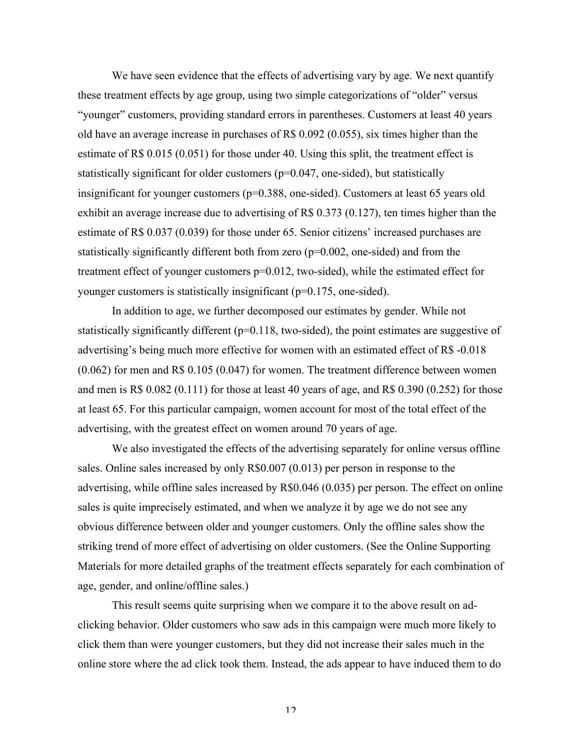We have seen evidence that the effects of advertising vary by age. We next quantify these treatment effects by age group, using two simple categorizations of "older" versus "younger" customers, providing standard errors in parentheses. Customers at least 40 years old have an average increase in purchases of R\$ 0.092 (0.055), six times higher than the estimate of R\$ 0.015 (0.051) for those under 40. Using this split, the treatment effect is statistically significant for older customers (p=0.047, one-sided), but statistically insignificant for younger customers ( $p=0.388$ , one-sided). Customers at least 65 years old exhibit an average increase due to advertising of R\$ 0.373 (0.127), ten times higher than the estimate of R\$ 0.037 (0.039) for those under 65. Senior citizens' increased purchases are statistically significantly different both from zero (p=0.002, one-sided) and from the treatment effect of younger customers p=0.012, two-sided), while the estimated effect for younger customers is statistically insignificant (p=0.175, one-sided).

In addition to age, we further decomposed our estimates by gender. While not statistically significantly different (p=0.118, two-sided), the point estimates are suggestive of advertising's being much more effective for women with an estimated effect of R\$ -0.018 (0.062) for men and R\$ 0.105 (0.047) for women. The treatment difference between women and men is R\$  $0.082$  (0.111) for those at least 40 years of age, and R\$  $0.390$  (0.252) for those at least 65. For this particular campaign, women account for most of the total effect of the advertising, with the greatest effect on women around 70 years of age.

We also investigated the effects of the advertising separately for online versus offline sales. Online sales increased by only R\$0.007 (0.013) per person in response to the advertising, while offline sales increased by R\$0.046 (0.035) per person. The effect on online sales is quite imprecisely estimated, and when we analyze it by age we do not see any obvious difference between older and younger customers. Only the offline sales show the striking trend of more effect of advertising on older customers. (See the Online Supporting Materials for more detailed graphs of the treatment effects separately for each combination of age, gender, and online/offline sales.)

This result seems quite surprising when we compare it to the above result on adclicking behavior. Older customers who saw ads in this campaign were much more likely to click them than were younger customers, but they did not increase their sales much in the online store where the ad click took them. Instead, the ads appear to have induced them to do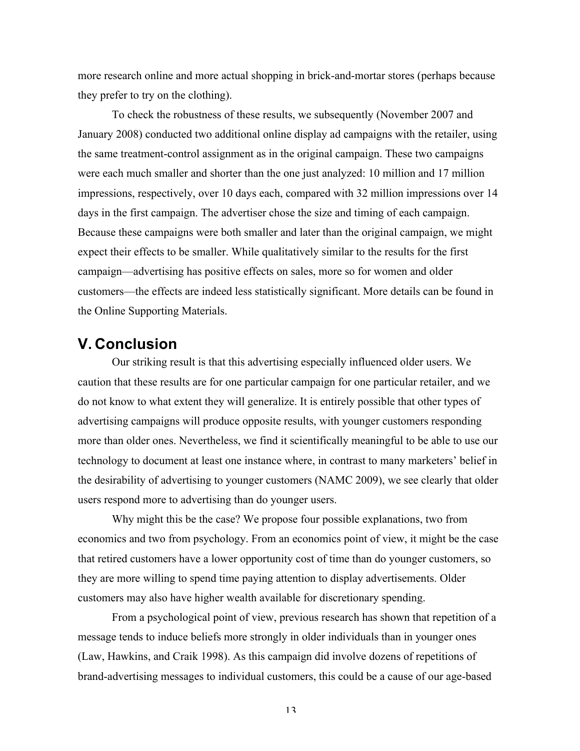more research online and more actual shopping in brick-and-mortar stores (perhaps because they prefer to try on the clothing).

To check the robustness of these results, we subsequently (November 2007 and January 2008) conducted two additional online display ad campaigns with the retailer, using the same treatment-control assignment as in the original campaign. These two campaigns were each much smaller and shorter than the one just analyzed: 10 million and 17 million impressions, respectively, over 10 days each, compared with 32 million impressions over 14 days in the first campaign. The advertiser chose the size and timing of each campaign. Because these campaigns were both smaller and later than the original campaign, we might expect their effects to be smaller. While qualitatively similar to the results for the first campaign—advertising has positive effects on sales, more so for women and older customers—the effects are indeed less statistically significant. More details can be found in the Online Supporting Materials.

### **V. Conclusion**

Our striking result is that this advertising especially influenced older users. We caution that these results are for one particular campaign for one particular retailer, and we do not know to what extent they will generalize. It is entirely possible that other types of advertising campaigns will produce opposite results, with younger customers responding more than older ones. Nevertheless, we find it scientifically meaningful to be able to use our technology to document at least one instance where, in contrast to many marketers' belief in the desirability of advertising to younger customers (NAMC 2009), we see clearly that older users respond more to advertising than do younger users.

Why might this be the case? We propose four possible explanations, two from economics and two from psychology. From an economics point of view, it might be the case that retired customers have a lower opportunity cost of time than do younger customers, so they are more willing to spend time paying attention to display advertisements. Older customers may also have higher wealth available for discretionary spending.

From a psychological point of view, previous research has shown that repetition of a message tends to induce beliefs more strongly in older individuals than in younger ones (Law, Hawkins, and Craik 1998). As this campaign did involve dozens of repetitions of brand-advertising messages to individual customers, this could be a cause of our age-based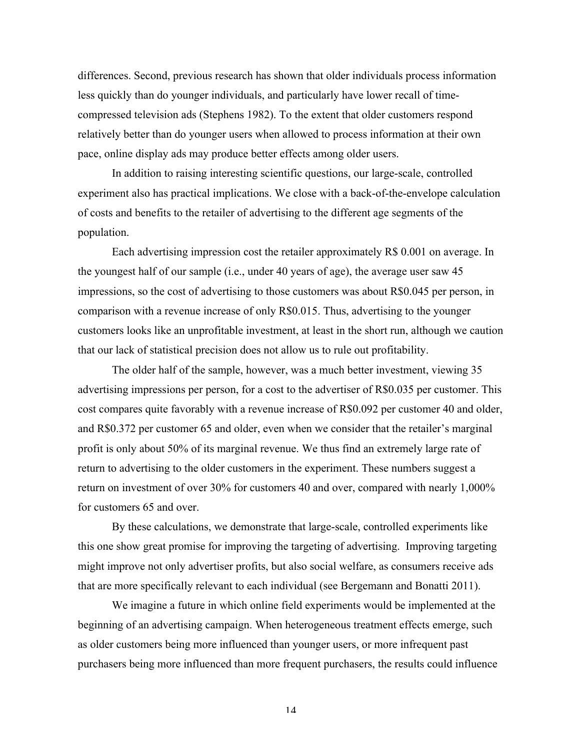differences. Second, previous research has shown that older individuals process information less quickly than do younger individuals, and particularly have lower recall of timecompressed television ads (Stephens 1982). To the extent that older customers respond relatively better than do younger users when allowed to process information at their own pace, online display ads may produce better effects among older users.

In addition to raising interesting scientific questions, our large-scale, controlled experiment also has practical implications. We close with a back-of-the-envelope calculation of costs and benefits to the retailer of advertising to the different age segments of the population.

Each advertising impression cost the retailer approximately R\$ 0.001 on average. In the youngest half of our sample (i.e., under 40 years of age), the average user saw 45 impressions, so the cost of advertising to those customers was about R\$0.045 per person, in comparison with a revenue increase of only R\$0.015. Thus, advertising to the younger customers looks like an unprofitable investment, at least in the short run, although we caution that our lack of statistical precision does not allow us to rule out profitability.

The older half of the sample, however, was a much better investment, viewing 35 advertising impressions per person, for a cost to the advertiser of R\$0.035 per customer. This cost compares quite favorably with a revenue increase of R\$0.092 per customer 40 and older, and R\$0.372 per customer 65 and older, even when we consider that the retailer's marginal profit is only about 50% of its marginal revenue. We thus find an extremely large rate of return to advertising to the older customers in the experiment. These numbers suggest a return on investment of over 30% for customers 40 and over, compared with nearly 1,000% for customers 65 and over.

By these calculations, we demonstrate that large-scale, controlled experiments like this one show great promise for improving the targeting of advertising. Improving targeting might improve not only advertiser profits, but also social welfare, as consumers receive ads that are more specifically relevant to each individual (see Bergemann and Bonatti 2011).

We imagine a future in which online field experiments would be implemented at the beginning of an advertising campaign. When heterogeneous treatment effects emerge, such as older customers being more influenced than younger users, or more infrequent past purchasers being more influenced than more frequent purchasers, the results could influence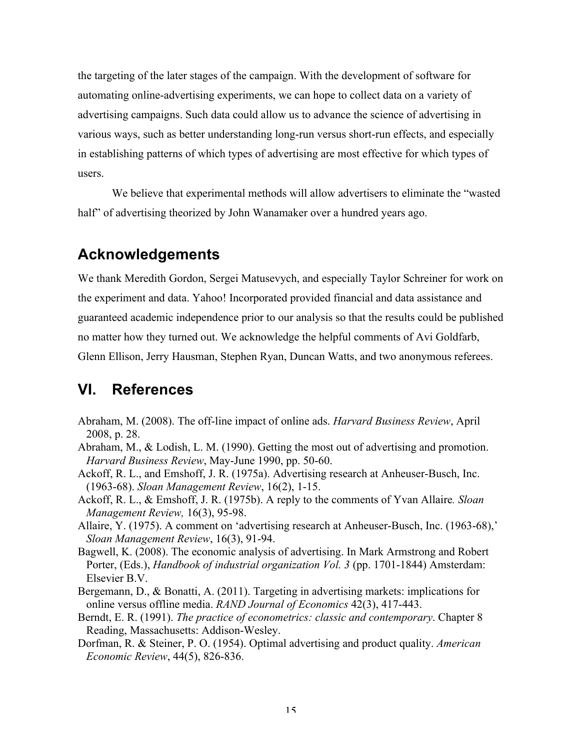the targeting of the later stages of the campaign. With the development of software for automating online-advertising experiments, we can hope to collect data on a variety of advertising campaigns. Such data could allow us to advance the science of advertising in various ways, such as better understanding long-run versus short-run effects, and especially in establishing patterns of which types of advertising are most effective for which types of users.

We believe that experimental methods will allow advertisers to eliminate the "wasted half" of advertising theorized by John Wanamaker over a hundred years ago.

# **Acknowledgements**

We thank Meredith Gordon, Sergei Matusevych, and especially Taylor Schreiner for work on the experiment and data. Yahoo! Incorporated provided financial and data assistance and guaranteed academic independence prior to our analysis so that the results could be published no matter how they turned out. We acknowledge the helpful comments of Avi Goldfarb, Glenn Ellison, Jerry Hausman, Stephen Ryan, Duncan Watts, and two anonymous referees.

# **VI. References**

- Abraham, M. (2008). The off-line impact of online ads. *Harvard Business Review*, April 2008, p. 28.
- Abraham, M., & Lodish, L. M. (1990). Getting the most out of advertising and promotion. *Harvard Business Review*, May-June 1990, pp. 50-60.
- Ackoff, R. L., and Emshoff, J. R. (1975a). Advertising research at Anheuser-Busch, Inc. (1963-68). *Sloan Management Review*, 16(2), 1-15.
- Ackoff, R. L., & Emshoff, J. R. (1975b). A reply to the comments of Yvan Allaire*. Sloan Management Review,* 16(3), 95-98.
- Allaire, Y. (1975). A comment on 'advertising research at Anheuser-Busch, Inc. (1963-68),' *Sloan Management Review*, 16(3), 91-94.
- Bagwell, K. (2008). The economic analysis of advertising. In Mark Armstrong and Robert Porter, (Eds.), *Handbook of industrial organization Vol. 3* (pp. 1701-1844) Amsterdam: Elsevier B.V.
- Bergemann, D., & Bonatti, A. (2011). Targeting in advertising markets: implications for online versus offline media. *RAND Journal of Economics* 42(3), 417-443.
- Berndt, E. R. (1991). *The practice of econometrics: classic and contemporary*. Chapter 8 Reading, Massachusetts: Addison-Wesley.
- Dorfman, R. & Steiner, P. O. (1954). Optimal advertising and product quality. *American Economic Review*, 44(5), 826-836.